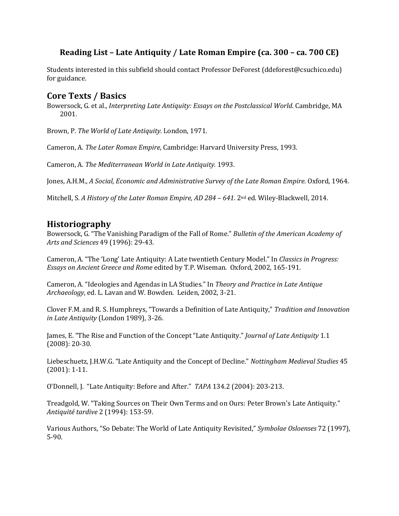# **Reading List – Late Antiquity / Late Roman Empire (ca. 300 – ca. 700 CE)**

Students interested in this subfield should contact Professor DeForest (ddeforest@csuchico.edu) for guidance.

#### **Core Texts / Basics**

Bowersock, G. et al., *Interpreting Late Antiquity: Essays on the Postclassical World*. Cambridge, MA 2001.

Brown, P. *The World of Late Antiquity.* London, 1971.

Cameron, A. *The Later Roman Empire*, Cambridge: Harvard University Press, 1993.

Cameron, A. *The Mediterranean World in Late Antiquity.* 1993.

Jones, A.H.M., *A Social, Economic and Administrative Survey of the Late Roman Empire.* Oxford, 1964.

Mitchell, S. A History of the Later Roman Empire, AD 284 – 641. 2<sup>nd</sup> ed. Wiley-Blackwell, 2014.

#### **Historiography**

Bowersock, G. "The Vanishing Paradigm of the Fall of Rome." *Bulletin of the American Academy of* Arts and Sciences 49 (1996): 29-43.

Cameron, A. "The 'Long' Late Antiquity: A Late twentieth Century Model." In *Classics in Progress: Essays on Ancient Greece and Rome edited by T.P. Wiseman. Oxford, 2002, 165-191.* 

Cameron, A. "Ideologies and Agendas in LA Studies." In *Theory and Practice in Late Antique Archaeology*, ed. L. Lavan and W. Bowden. Leiden, 2002, 3-21.

Clover F.M. and R. S. Humphreys, "Towards a Definition of Late Antiquity," *Tradition and Innovation in Late Antiquity* (London 1989), 3-26.

James, E. "The Rise and Function of the Concept "Late Antiquity." *Journal of Late Antiquity* 1.1  $(2008): 20-30.$ 

Liebeschuetz, J.H.W.G. "Late Antiquity and the Concept of Decline." *Nottingham Medieval Studies* 45  $(2001): 1-11.$ 

O'Donnell, J. "Late Antiquity: Before and After." TAPA 134.2 (2004): 203-213.

Treadgold, W. "Taking Sources on Their Own Terms and on Ours: Peter Brown's Late Antiquity." *Antiquité tardive* 2 (1994): 153-59. 

Various Authors, "So Debate: The World of Late Antiquity Revisited," *Symbolae Osloenses* 72 (1997), 5-90.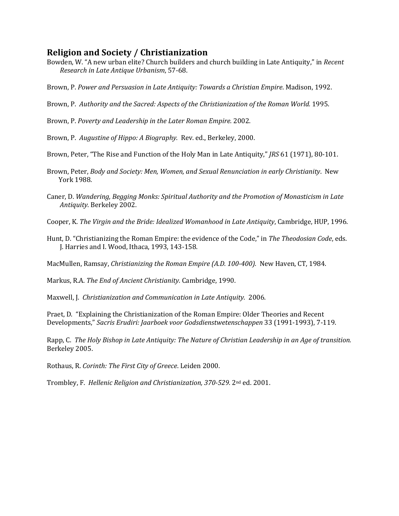## **Religion and Society / Christianization**

Bowden, W. "A new urban elite? Church builders and church building in Late Antiquity," in *Recent Research in Late Antique Urbanism*, 57-68.

Brown, P. Power and Persuasion in Late Antiquity: Towards a Christian Empire. Madison, 1992.

Brown, P. Authority and the Sacred: Aspects of the Christianization of the Roman World. 1995.

Brown, P. Poverty and Leadership in the Later Roman Empire. 2002.

Brown, P. *Augustine of Hippo: A Biography.* Rev. ed., Berkeley, 2000.

- Brown, Peter, "The Rise and Function of the Holy Man in Late Antiquity," *JRS* 61 (1971), 80-101.
- Brown, Peter, *Body and Society: Men, Women, and Sexual Renunciation in early Christianity*. New York 1988.
- Caner, D. Wandering, Begging Monks: Spiritual Authority and the Promotion of Monasticism in Late *Antiquity*. Berkeley 2002.
- Cooper, K. The Virgin and the Bride: Idealized Womanhood in Late Antiquity, Cambridge, HUP, 1996.
- Hunt, D. "Christianizing the Roman Empire: the evidence of the Code," in *The Theodosian Code*, eds. J. Harries and I. Wood, Ithaca, 1993, 143-158.

MacMullen, Ramsay, *Christianizing the Roman Empire (A.D. 100-400).* New Haven, CT, 1984.

Markus, R.A. *The End of Ancient Christianity.* Cambridge, 1990.

Maxwell, J. Christianization and Communication in Late Antiquity. 2006.

Praet, D. "Explaining the Christianization of the Roman Empire: Older Theories and Recent Developments," Sacris Erudiri: Jaarboek voor Godsdienstwetenschappen 33 (1991-1993), 7-119.

Rapp, C. The Holy Bishop in Late Antiquity: The Nature of Christian Leadership in an Age of transition. Berkeley 2005. 

Rothaus, R. *Corinth: The First City of Greece*. Leiden 2000.

Trombley, F. *Hellenic Religion and Christianization, 370-529.* 2<sup>nd</sup> ed. 2001.